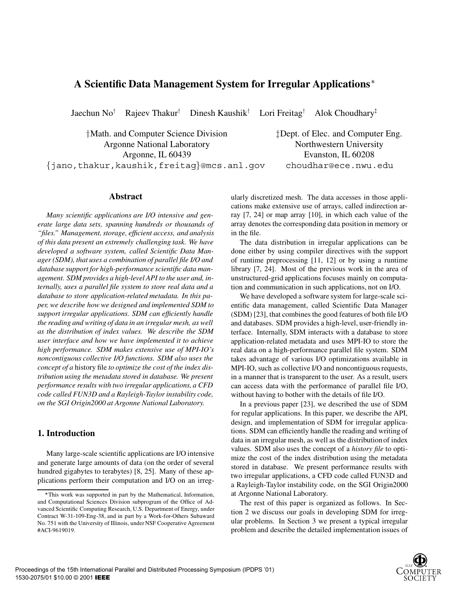# **A Scientific Data Management System for Irregular Applications**

Jaechun No $<sup>†</sup>$ </sup> Rajeev Thakur $<sup>†</sup>$ </sup>  $D$ inesh Kaushik<sup>†</sup> Lori Freitag<sup>†</sup> Alok Choudhary<sup> $\ddagger$ </sup>

 $\frac{1}{2}$ Math. and Computer Science Division  $\frac{1}{2}$ Dept. of Elec. and Computer Eng. Argonne National Laboratory Northwestern University Argonne, IL 60439 Evanston, IL 60208

 $\{\frac{\tau}{\tau}\}$  and  $\tau$  and  $\tau$  and  $\tau$  and  $\tau$  and  $\tau$  and  $\tau$  and  $\tau$  and  $\tau$  and  $\tau$  and  $\tau$  and  $\tau$  and  $\tau$  and  $\tau$  and  $\tau$  and  $\tau$  and  $\tau$  and  $\tau$  and  $\tau$  and  $\tau$  and  $\tau$  and  $\tau$  and  $\tau$  and  $\tau$  a

# **Abstract**

*Many scientific applications are I/O intensive and generate large data sets, spanning hundreds or thousands of "files." Management, storage, efficient access, and analysis of this data present an extremely challenging task. We have developed a software system, called Scientific Data Manager (SDM), that uses a combination of parallel file I/O and database support for high-performance scientific data management. SDM provides a high-level API to the user and, internally, uses a parallel file system to store real data and a database to store application-related metadata. In this paper, we describe how we designed and implemented SDM to support irregular applications. SDM can efficiently handle the reading and writing of data in an irregular mesh, as well as the distribution of index values. We describe the SDM user interface and how we have implemented it to achieve high performance. SDM makes extensive use of MPI-IO's noncontiguous collective I/O functions. SDM also uses the concept of a* history file *to optimize the cost of the index distribution using the metadata stored in database. We present performance results with two irregular applications, a CFD code called FUN3D and a Rayleigh-Taylor instability code, on the SGI Origin2000 at Argonne National Laboratory.*

# **1. Introduction**

Many large-scale scientific applications are I/O intensive and generate large amounts of data (on the order of several hundred gigabytes to terabytes) [8, 25]. Many of these applications perform their computation and I/O on an irregularly discretized mesh. The data accesses in those applications make extensive use of arrays, called indirection array [7, 24] or map array [10], in which each value of the array denotes the corresponding data position in memory or in the file.

The data distribution in irregular applications can be done either by using compiler directives with the support of runtime preprocessing [11, 12] or by using a runtime library [7, 24]. Most of the previous work in the area of unstructured-grid applications focuses mainly on computation and communication in such applications, not on I/O.

We have developed a software system for large-scale scientific data management, called Scientific Data Manager (SDM) [23], that combines the good features of both file I/O and databases. SDM provides a high-level, user-friendly interface. Internally, SDM interacts with a database to store application-related metadata and uses MPI-IO to store the real data on a high-performance parallel file system. SDM takes advantage of various I/O optimizations available in MPI-IO, such as collective I/O and noncontiguous requests, in a manner that is transparent to the user. As a result, users can access data with the performance of parallel file I/O, without having to bother with the details of file I/O.

In a previous paper [23], we described the use of SDM for regular applications. In this paper, we describe the API, design, and implementation of SDM for irregular applications. SDM can efficiently handle the reading and writing of data in an irregular mesh, as well as the distribution of index values. SDM also uses the concept of a *history file* to optimize the cost of the index distribution using the metadata stored in database. We present performance results with two irregular applications, a CFD code called FUN3D and a Rayleigh-Taylor instability code, on the SGI Origin2000 at Argonne National Laboratory.

The rest of this paper is organized as follows. In Section 2 we discuss our goals in developing SDM for irregular problems. In Section 3 we present a typical irregular problem and describe the detailed implementation issues of

This work was supported in part by the Mathematical, Information, and Computational Sciences Division subprogram of the Office of Advanced Scientific Computing Research, U.S. Department of Energy, under Contract W-31-109-Eng-38, and in part by a Work-for-Others Subaward No. 751 with the University of Illinois, under NSF Cooperative Agreement #ACI-9619019.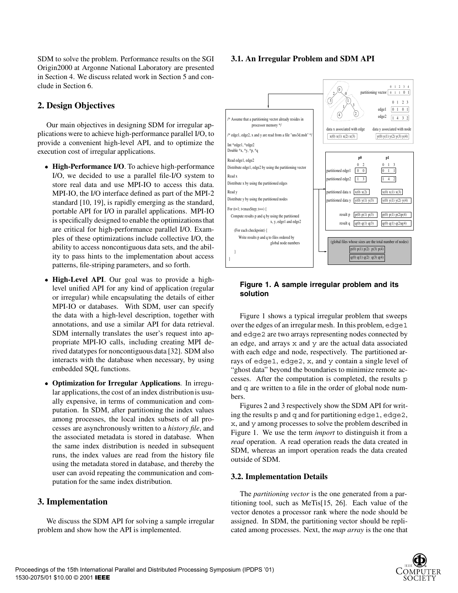SDM to solve the problem. Performance results on the SGI Origin2000 at Argonne National Laboratory are presented in Section 4. We discuss related work in Section 5 and conclude in Section 6.

# **2. Design Objectives**

Our main objectives in designing SDM for irregular applications were to achieve high-performance parallel I/O, to provide a convenient high-level API, and to optimize the execution cost of irregular applications.

- **High-Performance I/O**. To achieve high-performance I/O, we decided to use a parallel file-I/O system to store real data and use MPI-IO to access this data. MPI-IO, the I/O interface defined as part of the MPI-2 standard [10, 19], is rapidly emerging as the standard, portable API for I/O in parallel applications. MPI-IO is specifically designed to enable the optimizations that are critical for high-performance parallel I/O. Examples of these optimizations include collective I/O, the ability to access noncontiguous data sets, and the ability to pass hints to the implementation about access patterns, file-striping parameters, and so forth.
- **High-Level API**. Our goal was to provide a highlevel unified API for any kind of application (regular or irregular) while encapsulating the details of either MPI-IO or databases. With SDM, user can specify the data with a high-level description, together with annotations, and use a similar API for data retrieval. SDM internally translates the user's request into appropriate MPI-IO calls, including creating MPI derived datatypes for noncontiguous data [32]. SDM also interacts with the database when necessary, by using embedded SQL functions.
- **Optimization for Irregular Applications**. In irregular applications, the cost of an index distribution is usually expensive, in terms of communication and computation. In SDM, after partitioning the index values among processes, the local index subsets of all processes are asynchronously written to a *history file*, and the associated metadata is stored in database. When the same index distribution is needed in subsequent runs, the index values are read from the history file using the metadata stored in database, and thereby the user can avoid repeating the communication and computation for the same index distribution.

### **3. Implementation**

We discuss the SDM API for solving a sample irregular problem and show how the API is implemented.

#### **3.1. An Irregular Problem and SDM API**



### **Figure 1. A sample irregular problem and its solution**

Figure 1 shows a typical irregular problem that sweeps over the edges of an irregular mesh. In this problem, edge1 and edge2 are two arrays representing nodes connected by an edge, and arrays x and y are the actual data associated with each edge and node, respectively. The partitioned arrays of edge1, edge2, x, and y contain a single level of "ghost data" beyond the boundaries to minimize remote accesses. After the computation is completed, the results p and q are written to a file in the order of global node numbers.

Figures 2 and 3 respectively show the SDM API for writing the results  $p$  and  $q$  and for partitioning edge1, edge2, x, and y among processes to solve the problem described in Figure 1. We use the term *import* to distinguish it from a *read* operation. A read operation reads the data created in SDM, whereas an import operation reads the data created outside of SDM.

#### **3.2. Implementation Details**

The *partitioning vector* is the one generated from a partitioning tool, such as MeTis[15, 26]. Each value of the vector denotes a processor rank where the node should be assigned. In SDM, the partitioning vector should be replicated among processes. Next, the *map array* is the one that

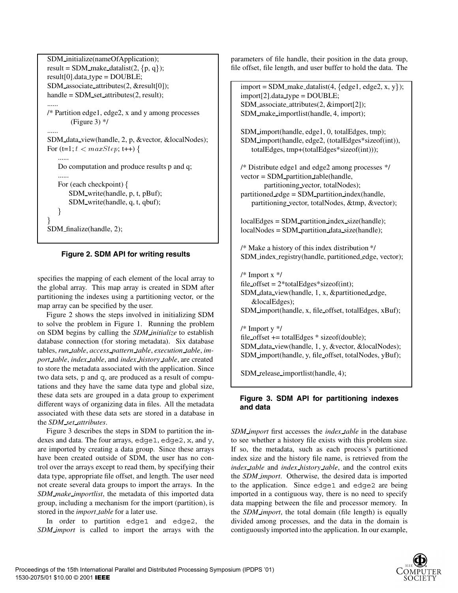```
SDM initialize(nameOfApplication);
result = SDM_make_datalist(2, \{p, q\});
result[0].data_type = DOUBLE;SDM associate attributes(2, &result[0]);
handle = SDM<sub>set</sub> attributes(2, result);
......
/* Partition edge1, edge2, x and y among processes
       (Figure 3) */......
SDM data view(handle, 2, p, &vector, &localNodes);
For (t=1; t < maxStep; t++) {
   ......
   Do computation and produce results p and q;
   For (each checkpoint) {
       SDM write(handle, p, t, pBuf);
       SDM write(handle, q, t, qbuf);
    \}\}SDM finalize(handle, 2);
```


specifies the mapping of each element of the local array to the global array. This map array is created in SDM after partitioning the indexes using a partitioning vector, or the maparray can be specified by the user.

Figure 2 shows the steps involved in initializing SDM to solve the problem in Figure 1. Running the problem on SDM begins by calling the *SDM initialize* to establish database connection (for storing metadata). Six database tables, *run table*, *access pattern table*, *execution table*, *import table*, *index table*, and *index history table*, are created to store the metadata associated with the application. Since two data sets, p and q, are produced as a result of computations and they have the same data type and global size, these data sets are grouped in a data group to experiment different ways of organizing data in files. All the metadata associated with these data sets are stored in a database in the *SDM set attributes*.

Figure 3 describes the steps in SDM to partition the indexes and data. The four arrays, edge1, edge2, x, and y, are imported by creating a data group. Since these arrays have been created outside of SDM, the user has no control over the arrays except to read them, by specifying their data type, appropriate file offset, and length. The user need not create several data groups to import the arrays. In the *SDM make importlist*, the metadata of this imported data group, including a mechanism for the import (partition), is stored in the *import table* for a later use.

In order to partition edge1 and edge2, the *SDM import* is called to import the arrays with the

parameters of file handle, their position in the data group, file offset, file length, and user buffer to hold the data. The

 $import = SDM$  make datalist(4, {edge1, edge2, x, y});  $import[2].data_type = DOUBLE;$ SDM associate attributes(2, &import[2]); SDM make importlist(handle, 4, import);

SDM import(handle, edge1, 0, totalEdges, tmp); SDM import(handle, edge2, (totalEdges\*sizeof(int)), totalEdges, tmp+(totalEdges\*sizeof(int)));

/\* Distribute edge1 and edge2 among processes \*/ vector = SDM partition table(handle, partitioning vector, totalNodes);

partitioned edge = SDM partition index(handle, partitioning vector, totalNodes, &tmp, &vector);

localEdges = SDM\_partition\_index\_size(handle); localNodes = SDM partition data size(handle);

/\* Make a history of this index distribution \*/ SDM index registry(handle, partitioned edge, vector);

/\* Import x \*/ file\_offset =  $2*$ totalEdges\*sizeof(int); SDM data view(handle, 1, x, &partitioned edge, &localEdges); SDM import(handle, x, file offset, totalEdges, xBuf); /\* Import y \*/

file offset += totalEdges \* sizeof(double); SDM data view(handle, 1, y, &vector, &localNodes); SDM import(handle, y, file offset, totalNodes, yBuf);

SDM release importlist(handle, 4);

# **Figure 3. SDM API for partitioning indexes and data**

*SDM import* first accesses the *index table* in the database to see whether a history file exists with this problem size. If so, the metadata, such as each process's partitioned index size and the history file name, is retrieved from the *index table* and *index history table*, and the control exits the *SDM import*. Otherwise, the desired data is imported to the application. Since edge1 and edge2 are being imported in a contiguous way, there is no need to specify data mapping between the file and processor memory. In the *SDM import*, the total domain (file length) is equally divided among processes, and the data in the domain is contiguously imported into the application. In our example,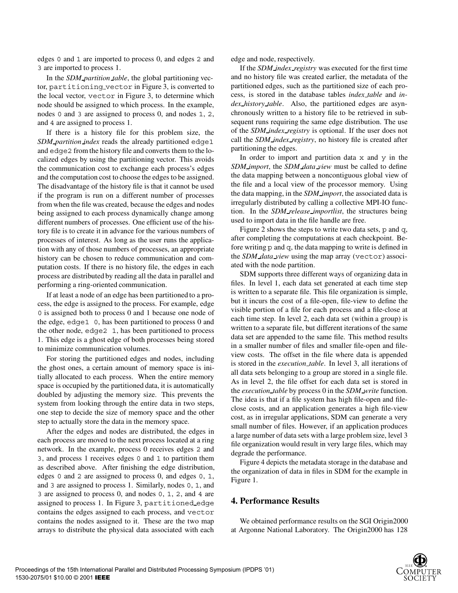edges 0 and 1 are imported to process 0, and edges 2 and 3 are imported to process 1.

In the *SDM partition table*, the global partitioning vector, partitioning vector in Figure 3, is converted to the local vector, vector in Figure 3, to determine which node should be assigned to which process. In the example, nodes 0 and 3 are assigned to process 0, and nodes 1, 2, and 4 are assigned to process 1.

If there is a history file for this problem size, the *SDM partition index* reads the already partitioned edge1 and edge2 from the history file and converts them to the localized edges by using the partitioning vector. This avoids the communication cost to exchange each process's edges and the computation cost to choose the edges to be assigned. The disadvantage of the history file is that it cannot be used if the program is run on a different number of processes from when the file was created, because the edges and nodes being assigned to each process dynamically change among different numbers of processes. One efficient use of the history file is to create it in advance for the various numbers of processes of interest. As long as the user runs the application with any of those numbers of processes, an appropriate history can be chosen to reduce communication and computation costs. If there is no history file, the edges in each process are distributed by reading all the data in parallel and performing a ring-oriented communication.

If at least a node of an edge has been partitioned to a process, the edge is assigned to the process. For example, edge 0 is assigned both to process 0 and 1 because one node of the edge, edge1 0, has been partitioned to process 0 and the other node, edge2 1, has been partitioned to process 1. This edge is a ghost edge of both processes being stored to minimize communication volumes.

For storing the partitioned edges and nodes, including the ghost ones, a certain amount of memory space is initially allocated to each process. When the entire memory space is occupied by the partitioned data, it is automatically doubled by adjusting the memory size. This prevents the system from looking through the entire data in two steps, one step to decide the size of memory space and the other step to actually store the data in the memory space.

After the edges and nodes are distributed, the edges in each process are moved to the next process located at a ring network. In the example, process 0 receives edges 2 and 3, and process 1 receives edges 0 and 1 to partition them as described above. After finishing the edge distribution, edges 0 and 2 are assigned to process 0, and edges 0, 1, and 3 are assigned to process 1. Similarly, nodes 0, 1, and 3 are assigned to process 0, and nodes 0, 1, 2, and 4 are assigned to process 1. In Figure 3, partitioned edge contains the edges assigned to each process, and vector contains the nodes assigned to it. These are the two map arrays to distribute the physical data associated with each

edge and node, respectively.

If the *SDM index registry* was executed for the first time and no history file was created earlier, the metadata of the partitioned edges, such as the partitioned size of each process, is stored in the database tables *index table* and *index history table*. Also, the partitioned edges are asynchronously written to a history file to be retrieved in subsequent runs requiring the same edge distribution. The use of the *SDM index registry* is optional. If the user does not call the *SDM index registry*, no history file is created after partitioning the edges.

In order to import and partition data  $x$  and  $y$  in the *SDM import*, the *SDM data view* must be called to define the data mapping between a noncontiguous global view of the file and a local view of the processor memory. Using the data mapping, in the *SDM import*, the associated data is irregularly distributed by calling a collective MPI-IO function. In the *SDM release importlist*, the structures being used to import data in the file handle are free.

Figure 2 shows the steps to write two data sets,  $p$  and  $q$ , after completing the computations at each checkpoint. Before writing p and q, the data mapping to write is defined in the *SDM data view* using the maparray (vector) associated with the node partition.

SDM supports three different ways of organizing data in files. In level 1, each data set generated at each time step is written to a separate file. This file organization is simple, but it incurs the cost of a file-open, file-view to define the visible portion of a file for each process and a file-close at each time step. In level 2, each data set (within a group) is written to a separate file, but different iterations of the same data set are appended to the same file. This method results in a smaller number of files and smaller file-open and fileview costs. The offset in the file where data is appended is stored in the *execution table*. In level 3, all iterations of all data sets belonging to a group are stored in a single file. As in level 2, the file offset for each data set is stored in the *execution table* by process 0 in the *SDM write* function. The idea is that if a file system has high file-open and fileclose costs, and an application generates a high file-view cost, as in irregular applications, SDM can generate a very small number of files. However, if an application produces a large number of data sets with a large problem size, level 3 file organization would result in very large files, which may degrade the performance.

Figure 4 depicts the metadata storage in the database and the organization of data in files in SDM for the example in Figure 1.

## **4. Performance Results**

We obtained performance results on the SGI Origin2000 at Argonne National Laboratory. The Origin2000 has 128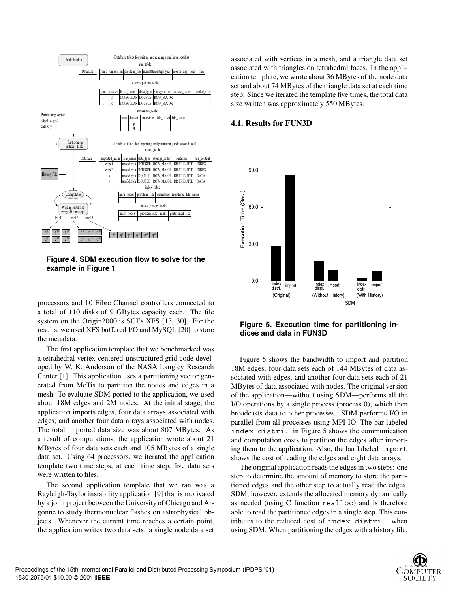

**Figure 4. SDM execution flow to solve for the example in Figure 1**

processors and 10 Fibre Channel controllers connected to a total of 110 disks of 9 GBytes capacity each. The file system on the Origin2000 is SGI's XFS [13, 30]. For the results, we used XFS buffered I/O and MySQL [20] to store the metadata.

The first application template that we benchmarked was a tetrahedral vertex-centered unstructured grid code developed by W. K. Anderson of the NASA Langley Research Center [1]. This application uses a partitioning vector generated from MeTis to partition the nodes and edges in a mesh. To evaluate SDM ported to the application, we used about 18M edges and 2M nodes. At the initial stage, the application imports edges, four data arrays associated with edges, and another four data arrays associated with nodes. The total imported data size was about 807 MBytes. As a result of computations, the application wrote about 21 MBytes of four data sets each and 105 MBytes of a single data set. Using 64 processors, we iterated the application template two time steps; at each time step, five data sets were written to files.

The second application template that we ran was a Rayleigh-Taylor instability application [9] that is motivated by a joint project between the University of Chicago and Argonne to study thermonuclear flashes on astrophysical objects. Whenever the current time reaches a certain point, the application writes two data sets: a single node data set

associated with vertices in a mesh, and a triangle data set associated with triangles on tetrahedral faces. In the application template, we wrote about 36 MBytes of the node data set and about 74 MBytes of the triangle data set at each time step. Since we iterated the template five times, the total data size written was approximately 550 MBytes.

### **4.1. Results for FUN3D**



**Figure 5. Execution time for partitioning indices and data in FUN3D**

Figure 5 shows the bandwidth to import and partition 18M edges, four data sets each of 144 MBytes of data associated with edges, and another four data sets each of 21 MBytes of data associated with nodes. The original version of the application—without using SDM—performs all the I/O operations by a single process (process 0), which then broadcasts data to other processes. SDM performs I/O in parallel from all processes using MPI-IO. The bar labeled index distri. in Figure 5 shows the communication and computation costs to partition the edges after importing them to the application. Also, the bar labeled import shows the cost of reading the edges and eight data arrays.

The original application reads the edges in two steps: one step to determine the amount of memory to store the partitioned edges and the other step to actually read the edges. SDM, however, extends the allocated memory dynamically as needed (using C function realloc) and is therefore able to read the partitioned edges in a single step. This contributes to the reduced cost of index distri. when using SDM. When partitioning the edges with a history file,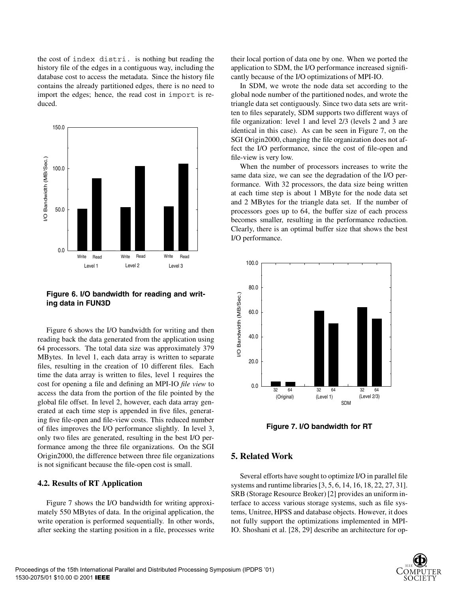the cost of index distri. is nothing but reading the history file of the edges in a contiguous way, including the database cost to access the metadata. Since the history file contains the already partitioned edges, there is no need to import the edges; hence, the read cost in import is reduced.



**Figure 6. I/O bandwidth for reading and writing data in FUN3D**

Figure 6 shows the I/O bandwidth for writing and then reading back the data generated from the application using 64 processors. The total data size was approximately 379 MBytes. In level 1, each data array is written to separate files, resulting in the creation of 10 different files. Each time the data array is written to files, level 1 requires the cost for opening a file and defining an MPI-IO *file view* to access the data from the portion of the file pointed by the global file offset. In level 2, however, each data array generated at each time step is appended in five files, generating five file-open and file-view costs. This reduced number of files improves the I/O performance slightly. In level 3, only two files are generated, resulting in the best I/O performance among the three file organizations. On the SGI Origin2000, the difference between three file organizations is not significant because the file-open cost is small.

#### **4.2. Results of RT Application**

Figure 7 shows the I/O bandwidth for writing approximately 550 MBytes of data. In the original application, the write operation is performed sequentially. In other words, after seeking the starting position in a file, processes write their local portion of data one by one. When we ported the application to SDM, the I/O performance increased significantly because of the I/O optimizations of MPI-IO.

In SDM, we wrote the node data set according to the global node number of the partitioned nodes, and wrote the triangle data set contiguously. Since two data sets are written to files separately, SDM supports two different ways of file organization: level 1 and level 2/3 (levels 2 and 3 are identical in this case). As can be seen in Figure 7, on the SGI Origin2000, changing the file organization does not affect the I/O performance, since the cost of file-open and file-view is very low.

When the number of processors increases to write the same data size, we can see the degradation of the I/O performance. With 32 processors, the data size being written at each time stepis about 1 MByte for the node data set and 2 MBytes for the triangle data set. If the number of processors goes up to 64, the buffer size of each process becomes smaller, resulting in the performance reduction. Clearly, there is an optimal buffer size that shows the best I/O performance.



**Figure 7. I/O bandwidth for RT**

### **5. Related Work**

Several efforts have sought to optimize I/O in parallel file systems and runtime libraries [3, 5, 6, 14, 16, 18, 22, 27, 31]. SRB (Storage Resource Broker) [2] provides an uniform interface to access various storage systems, such as file systems, Unitree, HPSS and database objects. However, it does not fully support the optimizations implemented in MPI-IO. Shoshani et al. [28, 29] describe an architecture for op-

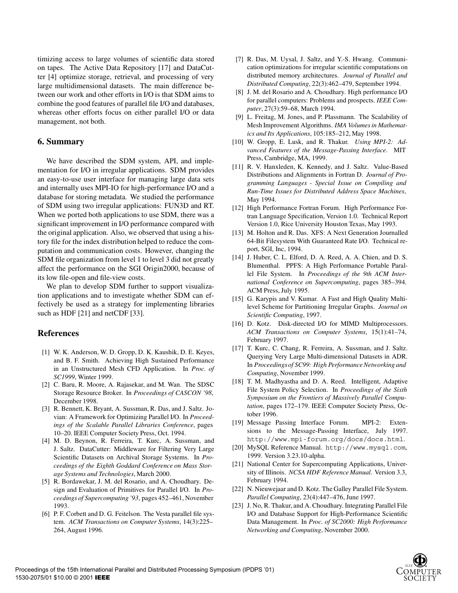timizing access to large volumes of scientific data stored on tapes. The Active Data Repository [17] and DataCutter [4] optimize storage, retrieval, and processing of very large multidimensional datasets. The main difference between our work and other efforts in I/O is that SDM aims to combine the good features of parallel file I/O and databases, whereas other efforts focus on either parallel I/O or data management, not both.

# **6. Summary**

We have described the SDM system, API, and implementation for I/O in irregular applications. SDM provides an easy-to-use user interface for managing large data sets and internally uses MPI-IO for high-performance I/O and a database for storing metadata. We studied the performance of SDM using two irregular applications: FUN3D and RT. When we ported both applications to use SDM, there was a significant improvement in I/O performance compared with the original application. Also, we observed that using a history file for the index distribution helped to reduce the computation and communication costs. However, changing the SDM file organization from level 1 to level 3 did not greatly affect the performance on the SGI Origin2000, because of its low file-open and file-view costs.

We plan to develop SDM further to support visualization applications and to investigate whether SDM can effectively be used as a strategy for implementing libraries such as HDF [21] and netCDF [33].

# **References**

- [1] W. K. Anderson, W. D. Gropp, D. K. Kaushik, D. E. Keyes, and B. F. Smith. Achieving High Sustained Performance in an Unstructured Mesh CFD Application. In *Proc. of SC1999*, Winter 1999.
- [2] C. Baru, R. Moore, A. Rajasekar, and M. Wan. The SDSC Storage Resource Broker. In *Proceedings of CASCON '98*, December 1998.
- [3] R. Bennett, K. Bryant, A. Sussman, R. Das, and J. Saltz. Jovian: A Framework for Optimizing Parallel I/O. In *Proceedings of the Scalable Parallel Libraries Conference*, pages 10–20. IEEE Computer Society Press, Oct. 1994.
- [4] M. D. Beynon, R. Ferreira, T. Kurc, A. Sussman, and J. Saltz. DataCutter: Middleware for Filtering Very Large Scientific Datasets on Archival Storage Systems. In *Proceedings of the Eighth Goddard Conference on Mass Storage Systems and Technologies*, March 2000.
- [5] R. Bordawekar, J. M. del Rosario, and A. Choudhary. Design and Evaluation of Primitives for Parallel I/O. In *Proceedings of Supercomputing '93*, pages 452–461, November 1993.
- [6] P. F. Corbett and D. G. Feitelson. The Vesta parallel file system. *ACM Transactions on Computer Systems*, 14(3):225– 264, August 1996.
- [7] R. Das, M. Uysal, J. Saltz, and Y.-S. Hwang. Communication optimizations for irregular scientific computations on distributed memory architectures. *Journal of Parallel and Distributed Computing*, 22(3):462–479, September 1994.
- [8] J. M. del Rosario and A. Choudhary. High performance I/O for parallel computers: Problems and prospects. *IEEE Computer*, 27(3):59–68, March 1994.
- [9] L. Freitag, M. Jones, and P. Plassmann. The Scalability of Mesh Improvement Algorithms. *IMA Volumes in Mathematics and Its Applications*, 105:185–212, May 1998.
- [10] W. Gropp, E. Lusk, and R. Thakur. *Using MPI-2: Advanced Features of the Message-Passing Interface*. MIT Press, Cambridge, MA, 1999.
- [11] R. V. Hanxleden, K. Kennedy, and J. Saltz. Value-Based Distributions and Alignments in Fortran D. *Journal of Programming Languages - Special Issue on Compiling and Run-Time Issues for Distributed Address Space Machines*, May 1994.
- [12] High Performance Fortran Forum. High Performance Fortran Language Specification, Version 1.0. Technical Report Version 1.0, Rice University Houston Texas, May 1993.
- [13] M. Holton and R. Das. XFS: A Next Generation Journalled 64-Bit Filesystem With Guaranteed Rate I/O. Technical report, SGI, Inc, 1994.
- [14] J. Huber, C. L. Elford, D. A. Reed, A. A. Chien, and D. S. Blumenthal. PPFS: A High Performance Portable Parallel File System. In *Proceedings of the 9th ACM International Conference on Supercomputing*, pages 385–394. ACM Press, July 1995.
- [15] G. Karypis and V. Kumar. A Fast and High Quality Multilevel Scheme for Partitioning Irregular Graphs. *Journal on Scientific Computing*, 1997.
- [16] D. Kotz. Disk-directed I/O for MIMD Multiprocessors. *ACM Transactions on Computer Systems*, 15(1):41–74, February 1997.
- [17] T. Kurc, C. Chang, R. Ferreira, A. Sussman, and J. Saltz. Querying Very Large Multi-dimensional Datasets in ADR. In *Proceedings of SC99: High Performance Networking and Computing*, November 1999.
- [18] T. M. Madhyastha and D. A. Reed. Intelligent, Adaptive File System Policy Selection. In *Proceedings of the Sixth Symposium on the Frontiers of Massively Parallel Computation*, pages 172–179. IEEE Computer Society Press, October 1996.
- [19] Message Passing Interface Forum. MPI-2: Extensions to the Message-Passing Interface, July 1997. http://www.mpi-forum.org/docs/docs.html.
- [20] MySQL Reference Manual. http://www.mysql.com, 1999. Version 3.23.10-alpha.
- [21] National Center for Supercomputing Applications, University of Illinois. *NCSA HDF Reference Manual*. Version 3.3, February 1994.
- [22] N. Nieuwejaar and D. Kotz. The Galley Parallel File System. *Parallel Computing*, 23(4):447–476, June 1997.
- [23] J. No, R. Thakur, and A. Choudhary. Integrating Parallel File I/O and Database Support for High-Performance Scientific Data Management. In *Proc. of SC2000: High Performance Networking and Computing*, November 2000.